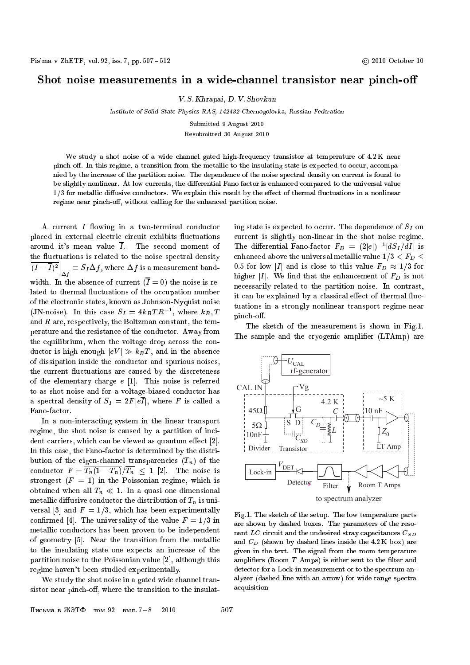## Shot noise measurements in <sup>a</sup> wide-channel transistor near pinch-o

V. S. Khrapai, D. V. Shovkun

Institute of Solid State Physics RAS, 142432 Chernogolovka, Russian Federation

Submitted 9 August 2010

Resubmitted 30 August 2010

We study a shot noise of a wide channel gated high-frequency transistor at temperature of 4.2 K near pinch-off. In this regime, a transition from the metallic to the insulating state is expected to occur, accompanied by the increase of the partition noise. The dependence of the noise spectral density on current is found to be slightly nonlinear. At low currents, the differential Fano factor is enhanced compared to the universal value  $1/3$  for metallic diffusive conductors. We explain this result by the effect of thermal fluctuations in a nonlinear regime near pinch-off, without calling for the enhanced partition noise.

A current  $I$  flowing in a two-terminal conductor placed in external electric circuit exhibits fluctuations around it's mean value  $\overline{I}$ . The second moment of the fluctuations is related to the noise spectral density  $\left.(I-I)^2\right|_{\Delta f}\equiv S_I\Delta f,$  where  $\Delta f$  is a measurement banda series de la provincia de la provincia de la provincia de la provincia de la provincia de la provincia de la width. In the absence of current  $(\overline{I} = 0)$  the noise is related to thermal fluctuations of the occupation number of the electronic states, known as Johnson-Nyquist noise (JN-noise). In this case  $5I = 4KBI R_1$ , where  $KB, I$ and <sup>R</sup> are, respectively, the Boltzman constant, the temperature and the resistance of the conductor. Away from the equilibrium, when the voltage drop across the conductor is high enough  $|eV| \gg k_BT$ , and in the absence of dissipation inside the conductor and spurious noises, the current fluctuations are caused by the discreteness of the elementary charge  $e$  [1]. This noise is referred to as shot noise and for a voltage-biased conductor has a spectral density of  $S_I = 2F |e\overline{I}|$ , where F is called a Fano-factor.

In a non-interacting system in the linear transport regime, the shot noise is caused by a partition of incident carriers, which can be viewed as quantum effect  $[2]$ . In this case, the Fano-factor is determined by the distribution of the eigen-channel transparencies  $(T_n)$  of the conductor  $F = \frac{T_n(1 - T_n)}{T_n} \leq 1$  [2]. The noise is strongest  $(F = 1)$  in the Poissonian regime, which is obtained when all  $T_n \ll 1$ . In a quasi one dimensional metallic diffusive conductor the distribution of  $T_n$  is universal [3] and  $F = 1/3$ , which has been experimentally confirmed [4]. The universality of the value  $F = 1/3$  in metallic conductors has been proven to be independent of geometry [5]. Near the transition from the metallic to the insulating state one expects an increase of the partition noise to the Poissonian value [2], although this regime haven't been studied experimentally.

We study the shot noise in a gated wide channel transistor near pinch-off, where the transition to the insulating state is expected to occur. The dependence of  $S_I$  on current is slightly non-linear in the shot noise regime. The differential Fano-factor  $F_D = (2|e|)^{-1} |d\sigma_I/dI|$  is enhanced above the universal metallic value  $1/3 < F_D <$ 0.5 for low |I| and is close to this value  $F_D \approx 1/3$  for higher II. We find that the enhancement of  $F<sub>D</sub>$  is not necessarily related to the partition noise. In contrast, it can be explained by a classical effect of thermal fluctuations in a strongly nonlinear transport regime near pinch-off.

The sketch of the measurement is shown in Fig.1. The sample and the cryogenic amplifier (LTAmp) are



Fig.1. The sketch of the setup. The low temperature parts are shown by dashed boxes. The parameters of the resonant LC circuit and the undesired stray capacitances  $C_{SD}$ and CD (shown by dashed lines inside the 4.2 K box) are given in the text. The signal from the room temperature amplifiers (Room  $T$  Amps) is either sent to the filter and detector for a Lock-in measurement or to the spectrum analyzer (dashed line with an arrow) for wide range spectra acquisition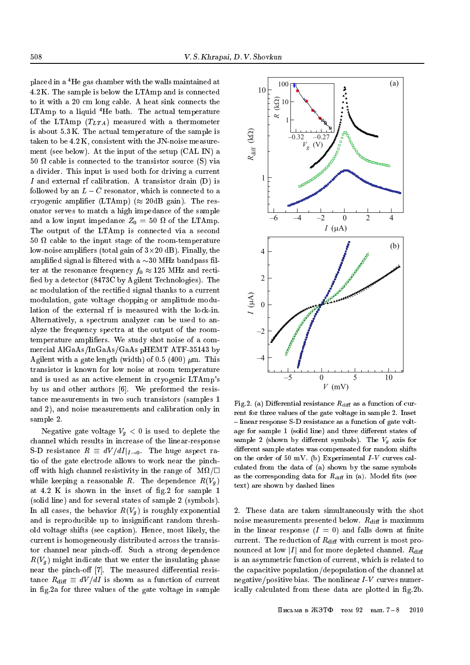placed in a 4He gas chamber with the walls maintained at 4.2 K. The sample is below the LTAmp and is connected to it with a 20 cm long cable. A heat sink connects the LTAmp to a liquid  ${}^{4}$ He bath. The actual temperature of the LTAmp  $(T_{LTA})$  measured with a thermometer is about 5.3 K. The actual temperature of the sample is taken to be 4.2 K, consistent with the JN-noise measurement (see below). At the input of the setup (CAL IN) a 50 cable is connected to the transistor source (S) via a divider. This input is used both for driving a current <sup>I</sup> and external rf calibration. A transistor drain (D) is followed by an  $L - C$  resonator, which is connected to a cryogenic amplifier (LTAmp) ( $\approx 20$ dB gain). The resonator serves to match a high impedance of the sample and a low input impedance  $\mathbf{r}$ The output of the LTAmp is connected via a second 50 cable to the input stage of the room-temperature low-noise ampliers (total gain of 3-20 dB). Finally, the amplified signal is filtered with a  $\sim$ 30 MHz bandpass filter at the resonance frequency  $f_0 \approx 125$  MHz and rectified by a detector (8473C by Agilent Technologies). The ac modulation of the rectied signal thanks to a current modulation, gate voltage chopping or amplitude modulation of the external rf is measured with the lock-in. Alternatively, a spectrum analyzer can be used to analyze the frequency spectra at the output of the roomtemperature amplifiers. We study shot noise of a commercial AlGaAs/InGaAs/GaAs pHEMT ATF-35143 by Agilent with a gate length (width) of 0.5 (400)  $\mu$ m. This transistor is known for low noise at room temperature and is used as an active element in cryogenic LTAmp's by us and other authors [6]. We preformed the resistance measurements in two such transistors (samples 1 and 2), and noise measurements and calibration only in sample 2.

Negative gate voltage  $V_q < 0$  is used to deplete the channel which results in increase of the linear-response S-D resistance  $R \equiv dV/dI|_{I\rightarrow 0}$ . The huge aspect ratio of the gate electrode allows to work near the pincho with high channel resistivity in the range of M = while keeping a reasonable R. The dependence  $R(V<sub>a</sub>)$ at  $4.2$  K is shown in the inset of fig. 2 for sample 1 (solid line) and for several states of sample 2 (symbols). In all cases, the behavior  $R(V_q)$  is roughly exponential and is reproducible up to insignicant random threshold voltage shifts (see caption). Hence, most likely, the current is homogeneously distributed across the transistor channel near pinch-off. Such a strong dependence  $R(V<sub>a</sub>)$  might indicate that we enter the insulating phase near the pinch-off  $[7]$ . The measured differential resistance  $R_{\text{diff}} \equiv dV/dI$  is shown as a function of current in fig.2a for three values of the gate voltage in sample



Fig.2. (a) Differential resistance  $R_{\text{diff}}$  as a function of current for three values of the gate voltage in sample 2. Inset  $-$  linear response S-D resistance as a function of gate voltage for sample 1 (solid line) and three different states of sample 2 (shown by dierent symbols). The Vg axis for different sample states was compensated for random shifts on the order of 50 mV. (b) Experimental  $I-V$  curves calculated from the data of (a) shown by the same symbols as the corresponding data for  $R_{\text{diff}}$  in (a). Model fits (see text) are shown by dashed lines

2. These data are taken simultaneously with the shot noise measurements presented below.  $R_{\text{diff}}$  is maximum in the linear response  $(I = 0)$  and falls down at finite current. The reduction of  $R_{\text{diff}}$  with current is most pronounced at low |I| and for more depleted channel.  $R_{\text{diff}}$ is an asymmetric function of current, which is related to the capacitive population/depopulation of the channel at negative/positive bias. The nonlinear  $I-V$  curves numerically calculated from these data are plotted in fig.2b.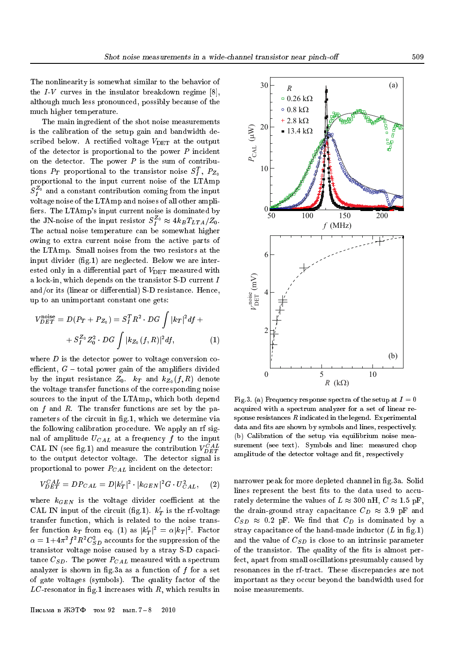The nonlinearity is somewhat similar to the behavior of the  $I-V$  curves in the insulator breakdown regime [8], although much less pronounced, possibly because of the much higher temperature.

The main ingredient of the shot noise measurements is the calibration of the setup gain and bandwidth described below. A rectified voltage  $V_{\text{DET}}$  at the output of the detector is proportional to the power  $P$  incident on the detector. The power  $P$  is the sum of contributions  $PT$  proportional to the transistor hoise  $S_I$ ,  $F_{Z_0}$ proportional to the input current noise of the LTAmp  $\mathcal{F}_I$ ° and a constant contribution coming from the input voltage noise of the LTAmp and noises of all other ampli fiers. The LTAmp's input current noise is dominated by the JN-noise of the input resistor  $\sigma_I^- \approx 4\kappa_B T_{LTA}/Z_0.$ The actual noise temperature can be somewhat higher owing to extra current noise from the active parts of the LTAmp. Small noises from the two resistors at the input divider (fig.1) are neglected. Below we are interested only in a differential part of  $V_{\text{DET}}$  measured with a lock-in, which depends on the transistor S-D current <sup>I</sup> and/or its (linear or differential)  $S-D$  resistance. Hence, up to an unimportant constant one gets:

$$
V_{DEF}^{\text{noise}} = D(P_T + P_{Z_0}) = S_I^T R^2 \cdot DG \int |k_T|^2 df +
$$
  
+ 
$$
S_I^{Z_0} Z_0^2 \cdot DG \int |k_{Z_0}(f, R)|^2 df, \tag{1}
$$

where  $D$  is the detector power to voltage conversion coefficient,  $G$  – total power gain of the amplifiers divided by the input resistance  $Z_0$ .  $k_T$  and  $k_{Z_0}(f, R)$  denote the voltage transfer functions of the corresponding noise sources to the input of the LTAmp, which both depend on  $f$  and  $R$ . The transfer functions are set by the parameters of the circuit in fig.1, which we determine via the following calibration procedure. We apply an rf signal of amplitude  $U_{CAL}$  at a frequency f to the input CAL IN (see fig.1) and measure the contribution  $V_{DET}^{CAL}$ to the output detector voltage. The detector signal is proportional to power  $P_{CAL}$  incident on the detector:

$$
V_{DET}^{CAL} = D P_{CAL} = D |k'_T|^2 \cdot |k_{GEN}|^2 G \cdot U_{CAL}^2,
$$
 (2)

where  $k_{GEN}$  is the voltage divider coefficient at the CAL IN input of the circuit (ng.1).  $\kappa_T$  is the rf-voltage transfer function, which is related to the noise transfer function  $\kappa_T$  from eq. (1) as  $|\kappa_T|^{-} = \alpha |\kappa_T|^{-}.$  Factor  $\alpha =$  1+4 $\pi$ - $J$ - $\kappa$ - $\cup$  $_{SD}^-$  accounts for the suppression of the transistor voltage noise caused by a stray S-D capacitance  $C_{SD}$ . The power  $P_{CAL}$  measured with a spectrum analyzer is shown in fig.3a as a function of  $f$  for a set of gate voltages (symbols). The quality factor of the  $LC$ -resonator in fig.1 increases with  $R$ , which results in



Fig.3. (a) Frequency response spectra of the setup at  $I = 0$ acquired with a spectrum analyzer for a set of linear response resistances  $R$  indicated in the legend. Experimental data and fits are shown by symbols and lines, respectively. (b) Calibration of the setup via equilibrium noise measurement (see text). Symbols and line: measured chop amplitude of the detector voltage and fit, respectively

narrower peak for more depleted channel in fig.3a. Solid lines represent the best fits to the data used to accurately determine the values of  $L \approx 300$  nH,  $C \approx 1.5$  pF, the drain-ground stray capacitance  $C_D \approx 3.9$  pF and  $C_{SD} \approx 0.2$  pF. We find that  $C_D$  is dominated by a stray capacitance of the hand-made inductor  $(L \text{ in fig.1})$ and the value of  $C_{SD}$  is close to an intrinsic parameter of the transistor. The quality of the fits is almost perfect, apart from small oscillations presumably caused by resonances in the rf-tract. These discrepancies are not important as they occur beyond the bandwidth used for noise measurements.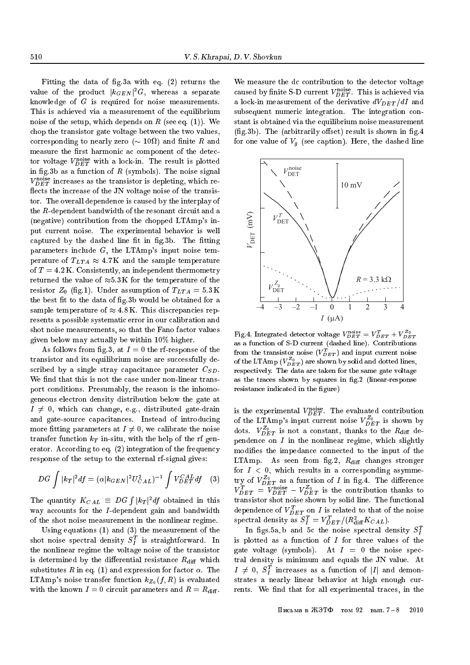Fitting the data of fig.3a with eq.  $(2)$  returns the value of the product  $|\kappa_{GEN}|$  G, whereas a separate knowledge of <sup>G</sup> is required for noise measurements. This is achieved via a measurement of the equilibrium noise of the setup, which depends on R (see eq.  $(1)$ ). We chop the transistor gate voltage between the two values, corresponding to nearly zero ( 10 ) and nite <sup>R</sup> and measure the first harmonic ac component of the detector voltage  $v_{\tilde{DET}}$  with a lock-in. The result is plotted in fig.3b as a function of  $R$  (symbols). The noise signal  $v_{\tilde{DET}}$  increases as the transistor is depleting, which reflects the increase of the JN voltage noise of the transistor. The overall dependence is caused by the interplay of the R-dependent bandwidth of the resonant circuit and a (negative) contribution from the chopped LTAmp's input current noise. The experimental behavior is well captured by the dashed line fit in fig.3b. The fitting parameters include  $G$ , the LTAmp's input noise temperature of  $T_{LTA} \approx 4.7$ K and the sample temperature of  $T = 4.2$  K. Consistently, an independent thermometry returned the value of  $\approx 5.3 \text{ K}$  for the temperature of the resistor  $Z_0$  (fig.1). Under assumption of  $T_{LTA} = 5.3 \text{ K}$ the best fit to the data of fig.3b would be obtained for a sample temperature of  $\approx 4.8 \text{ K}$ . This discrepancies represents a possible systematic error in our calibration and shot noise measurements, so that the Fano factor values given below may actually be within 10% higher.

As follows from fig.3, at  $I=0$  the rf-response of the transistor and its equilibrium noise are successfully described by a single stray capacitance parameter  $C_{SD}$ . We find that this is not the case under non-linear transport conditions. Presumably, the reason is the inhomogeneous electron density distribution below the gate at  $I \neq 0$ , which can change, e.g., distributed gate-drain and gate-source capacitances. Instead of introducing more fitting parameters at  $I \neq 0$ , we calibrate the noise transfer function  $k_T$  in-situ, with the help of the rf generator. According to eq. (2) integration of the frequency response of the setup to the external rf-signal gives:

$$
DG\int |k_T|^2 df = (\alpha |k_{GEN}|^2 U_{CAL}^2)^{-1} \int V_{DET}^{CAL} df \quad (3)
$$

The quantity  $K_{CAL} \equiv DG \int |k_T|^2 df$  obtained in this way accounts for the I-dependent gain and bandwidth of the shot noise measurement in the nonlinear regime.

Using equations (1) and (3) the measurement of the  $\sin$ ot noise spectral density  $\beta_T$  is straightforward. In the nonlinear regime the voltage noise of the transistor is determined by the differential resistance  $R_{\text{diff}}$  which substitutes R in eq. (1) and expression for factor  $\alpha$ . The LTAmp's noise transfer function  $k_{Z_0}(f, R)$  is evaluated with the known  $I = 0$  circuit parameters and  $R = R_{\text{diff}}$ .

We measure the dc contribution to the detector voltage caused by nnite 5-D current  $v_{DET}$  . This is achieved via a lock-in measurement of the derivative  $dV_{DET}/dI$  and subsequent numeric integration. The integration constant is obtained via the equilibrium noise measurement  $(f_1, g_2)$ . The (arbitrarily offset) result is shown in fig. 4 for one value of  $V_g$  (see caption). Here, the dashed line



Fig.4. Integrated detector voltage  $V_{DET}^{corr} = V_{DET}^T + V_{DET}^$ as a function of S-D current (dashed line). Contributions from the transistor noise (  $v_{\bar{D}ET}$  ) and input current noise of the LTAmp ( $V_{DET}^-$ ) are shown by solid and dotted lines, respectively. The data are taken for the same gate voltage as the traces shown by squares in fig.2 (linear-response resistance indicated in the figure)

is the experimental  $v_{\tilde{D}\tilde{E}\tilde{T}}$ . The evaluated contribution of the LTAmp's input current noise  $V_{DET}^{\omega_0}$  is shown by dots.  $V_{\tilde{DET}}$  is not a constant, thanks to the  $R_{\rm diff}$  dependence on  $I$  in the nonlinear regime, which slightly modies the impedance connected to the input of the LTAmp. As seen from fig.2,  $R_{\text{diff}}$  changes stronger for  $I < 0$ , which results in a corresponding asymmetry of  $V_{DET}^-$  as a function of  $I$  in fig.4. The difference  $V_{DET}^+ = V_{DET}^+ - V_{DET}^-$  is the contribution thanks to transistor shot noise shown by solid line. The functional dependence of  $v_{\bar{D}ET}$  on T is related to that of the noise spectral density as  $\sigma_{\bar{I}} = v_{\bar{D}ET}/(R_{\text{diff}} \Lambda_{CAL}).$ 

In figs.5a, b and 5c the noise spectral density  $S_I^T$ is plotted as a function of  $I$  for three values of the gate voltage (symbols). At  $I = 0$  the noise spectral density is minimum and equals the JN value. At  $I \neq 0, S_{\tau}$  increases as a function of  $|I|$  and demonstrates a nearly linear behavior at high enough currents. We find that for all experimental traces, in the

Письма в ЖЭТФ том 92 вып.  $7-8$  2010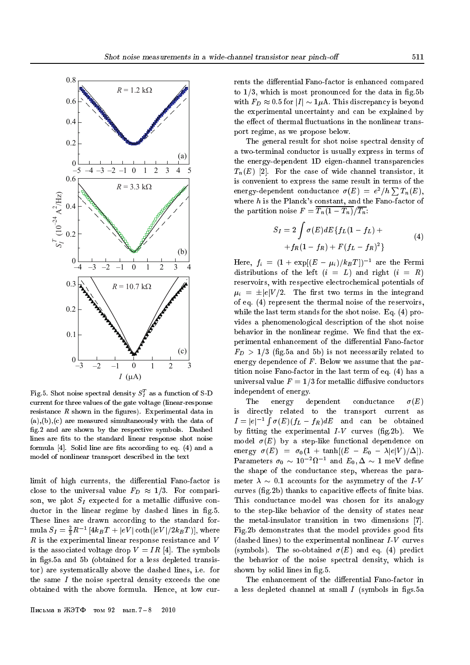

Fig.5. Shot noise spectral density  $S_{I}^{-}$  as a function of S-D <u>—</u> current for three values of the gate voltage (linear-response resistance  $R$  shown in the figures). Experimental data in  $(a), (b), (c)$  are measured simultaneously with the data of g.2 and are shown by the respective symbols. Dashed lines are fits to the standard linear response shot noise formula  $[4]$ . Solid line are fits according to eq.  $(4)$  and a model of nonlinear transport described in the text

limit of high currents, the differential Fano-factor is close to the universal value  $F_D \approx 1/3$ . For comparison, we plot  $S_I$  expected for a metallic diffusive conductor in the linear regime by dashed lines in fig.5. These lines are drawn according to the standard formula  $\mathcal{S}_I = \frac{1}{3}R^{-1} [4\kappa_B T] + |eV| \coth(|eV|/2\kappa_B T)],$  where  $R$  is the experimental linear response resistance and  $V$ is the associated voltage drop  $V = IR$  [4]. The symbols in figs.5a and 5b (obtained for a less depleted transistor) are systematically above the dashed lines, i.e. for the same  $I$  the noise spectral density exceeds the one obtained with the above formula. Hence, at low cur-

rents the differential Fano-factor is enhanced compared to  $1/3$ , which is most pronounced for the data in fig.5b with  $F_D \approx 0.5$  for  $|I| \sim 1\mu$ A. This discrepancy is beyond the experimental uncertainty and can be explained by the effect of thermal fluctuations in the nonlinear transport regime, as we propose below.

The general result for shot noise spectral density of a two-terminal conductor is usually express in terms of the energy-dependent 1D eigen-channel transparencies  $T_n(E)$  [2]. For the case of wide channel transistor, it is convenient to express the same result in terms of the energy-dependent conductance  $\sigma(E) = e^2/h \sum T_n(E)$ , where  $h$  is the Planck's constant, and the Fano-factor of the partition noise  $F = \overline{T_n(1 - T_n)}/\overline{T_n}$ :

$$
S_I = 2 \int \sigma(E) dE \{ f_L (1 - f_L) ++ f_R (1 - f_R) + F (f_L - f_R)^2 \}
$$
 (4)

Here,  $f_i = (1 + \exp[(E - \mu_i)/\kappa_{B}T])$  are the Fermi distributions of the left  $(i = L)$  and right  $(i = R)$ reservoirs, with respective electrochemical potentials of  $\mu_i = \pm |e| V/2$ . The first two terms in the integrand of eq. (4) represent the thermal noise of the reservoirs, while the last term stands for the shot noise. Eq. (4) provides a phenomenological description of the shot noise behavior in the nonlinear regime. We find that the experimental enhancement of the differential Fano-factor  $F_D > 1/3$  (fig.5a and 5b) is not necessarily related to energy dependence of  $F$ . Below we assume that the partition noise Fano-factor in the last term of eq. (4) has a universal value  $F = 1/3$  for metallic diffusive conductors independent of energy.

The energy dependent conductance  $\sigma(E)$ is directly related to the transport current as  $I=|e|^{-1}$  (  $\epsilon$  (F)(fL from and can be obtained by fitting the experimental  $I-V$  curves (fig.2b). We model  $\sigma(E)$  by a step-like functional dependence on energy  $\sigma(E) = \sigma_0(1 + \tanh[(E - E_0 - \lambda|e|V)/\Delta]).$ Parameters  $\sigma_0 \sim 10^{-1}$  i and  $E_0, \Delta \sim 1$  meV deniie the shape of the conductance step, whereas the parameter  $\lambda \sim 0.1$  accounts for the asymmetry of the I-V curves (fig.2b) thanks to capacitive effects of finite bias. This conductance model was chosen for its analogy to the step-like behavior of the density of states near the metal-insulator transition in two dimensions [7]. Fig.2b demonstrates that the model provides good fits (dashed lines) to the experimental nonlinear  $I-V$  curves (symbols). The so-obtained  $\sigma(E)$  and eq. (4) predict the behavior of the noise spectral density, which is shown by solid lines in fig.5.

The enhancement of the differential Fano-factor in a less depleted channel at small  $I$  (symbols in figs.5a